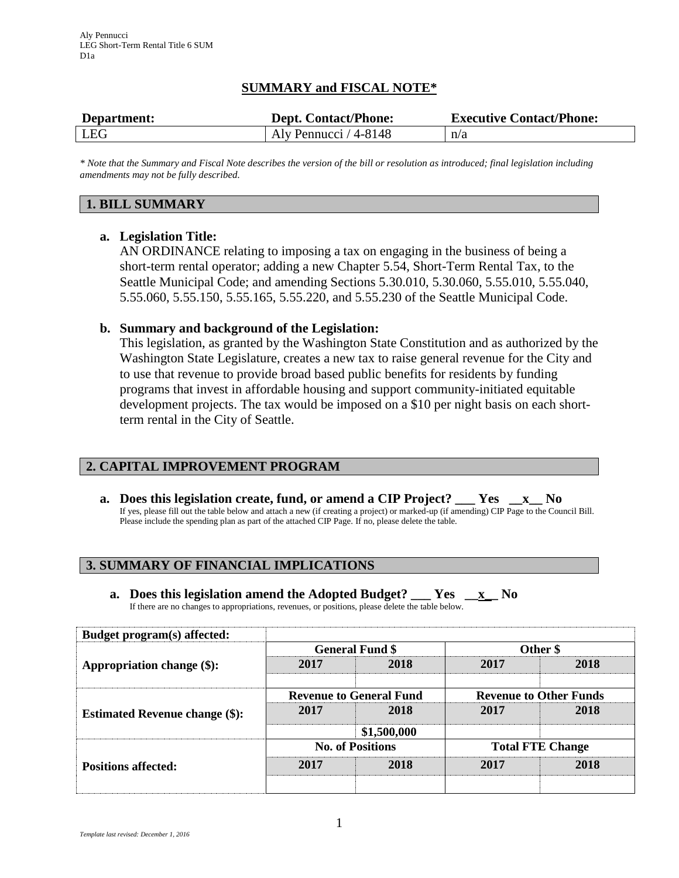# **SUMMARY and FISCAL NOTE\***

| Department: | <b>Dept. Contact/Phone:</b> | <b>Executive Contact/Phone:</b> |  |
|-------------|-----------------------------|---------------------------------|--|
| LEG         | Aly Pennucci / 4-8148       | n/a                             |  |

*\* Note that the Summary and Fiscal Note describes the version of the bill or resolution as introduced; final legislation including amendments may not be fully described.*

#### **1. BILL SUMMARY**

#### **a. Legislation Title:**

AN ORDINANCE relating to imposing a tax on engaging in the business of being a short-term rental operator; adding a new Chapter 5.54, Short-Term Rental Tax, to the Seattle Municipal Code; and amending Sections 5.30.010, 5.30.060, 5.55.010, 5.55.040, 5.55.060, 5.55.150, 5.55.165, 5.55.220, and 5.55.230 of the Seattle Municipal Code.

#### **b. Summary and background of the Legislation:**

This legislation, as granted by the Washington State Constitution and as authorized by the Washington State Legislature, creates a new tax to raise general revenue for the City and to use that revenue to provide broad based public benefits for residents by funding programs that invest in affordable housing and support community-initiated equitable development projects. The tax would be imposed on a \$10 per night basis on each shortterm rental in the City of Seattle.

## **2. CAPITAL IMPROVEMENT PROGRAM**

**a. Does this legislation create, fund, or amend a CIP Project? \_\_\_ Yes \_\_x\_\_ No** If yes, please fill out the table below and attach a new (if creating a project) or marked-up (if amending) CIP Page to the Council Bill. Please include the spending plan as part of the attached CIP Page. If no, please delete the table.

## **3. SUMMARY OF FINANCIAL IMPLICATIONS**

**a. Does this legislation amend the Adopted Budget? \_\_\_ Yes \_\_x\_\_ No** If there are no changes to appropriations, revenues, or positions, please delete the table below.

| Budget program(s) affected:           |                                |             |                               |      |
|---------------------------------------|--------------------------------|-------------|-------------------------------|------|
| Appropriation change (\$):            | <b>General Fund \$</b>         |             | Other \$                      |      |
|                                       | 2017                           | 2018        | 2017                          | 2018 |
| <b>Estimated Revenue change (\$):</b> | <b>Revenue to General Fund</b> |             | <b>Revenue to Other Funds</b> |      |
|                                       | 2017                           | 2018        | 2017                          | 2018 |
|                                       |                                | \$1,500,000 |                               |      |
| <b>Positions affected:</b>            | <b>No. of Positions</b>        |             | <b>Total FTE Change</b>       |      |
|                                       | 2017                           | 2018        | 2017                          | 2018 |
|                                       |                                |             |                               |      |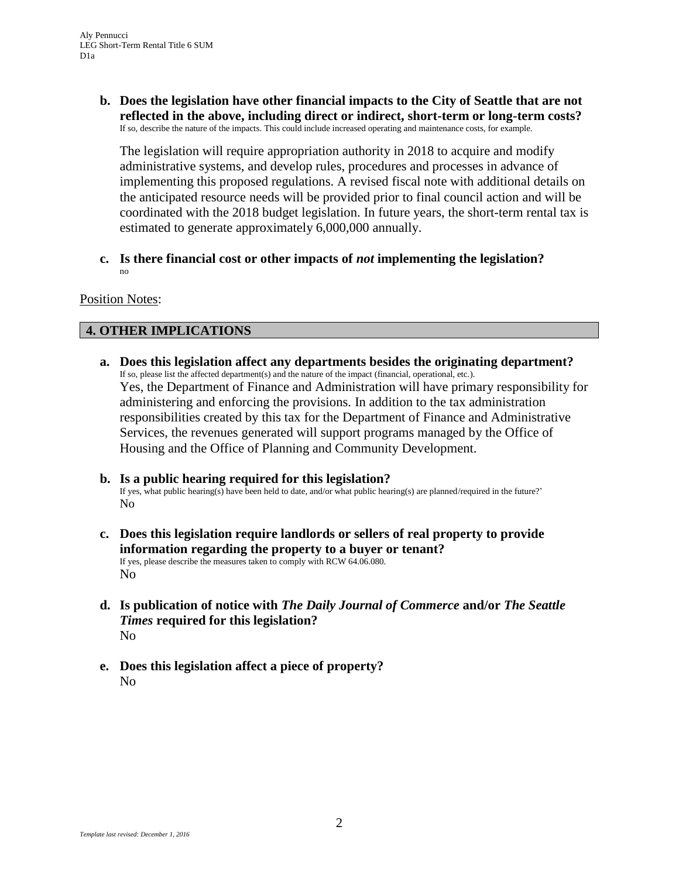**b. Does the legislation have other financial impacts to the City of Seattle that are not reflected in the above, including direct or indirect, short-term or long-term costs?** If so, describe the nature of the impacts. This could include increased operating and maintenance costs, for example.

The legislation will require appropriation authority in 2018 to acquire and modify administrative systems, and develop rules, procedures and processes in advance of implementing this proposed regulations. A revised fiscal note with additional details on the anticipated resource needs will be provided prior to final council action and will be coordinated with the 2018 budget legislation. In future years, the short-term rental tax is estimated to generate approximately 6,000,000 annually.

**c. Is there financial cost or other impacts of** *not* **implementing the legislation?** no

#### Position Notes:

## **4. OTHER IMPLICATIONS**

- **a. Does this legislation affect any departments besides the originating department?** If so, please list the affected department(s) and the nature of the impact (financial, operational, etc.). Yes, the Department of Finance and Administration will have primary responsibility for administering and enforcing the provisions. In addition to the tax administration responsibilities created by this tax for the Department of Finance and Administrative Services, the revenues generated will support programs managed by the Office of Housing and the Office of Planning and Community Development.
- **b. Is a public hearing required for this legislation?** If yes, what public hearing(s) have been held to date, and/or what public hearing(s) are planned/required in the future?' No
- **c. Does this legislation require landlords or sellers of real property to provide information regarding the property to a buyer or tenant?** If yes, please describe the measures taken to comply with RCW 64.06.080. No
- **d. Is publication of notice with** *The Daily Journal of Commerce* **and/or** *The Seattle Times* **required for this legislation?** No
- **e. Does this legislation affect a piece of property?** No